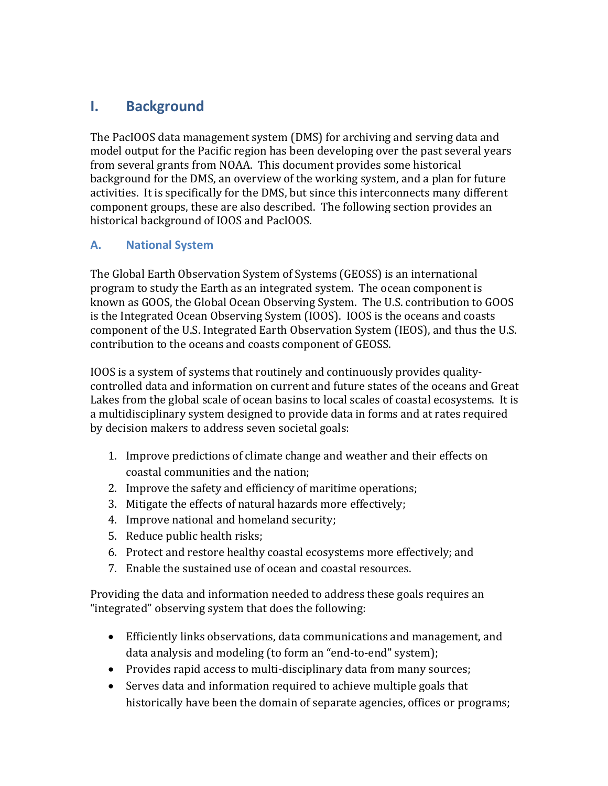## **I. Background**

The PacIOOS data management system (DMS) for archiving and serving data and model output for the Pacific region has been developing over the past several years from several grants from NOAA. This document provides some historical background for the DMS, an overview of the working system, and a plan for future activities. It is specifically for the DMS, but since this interconnects many different component groups, these are also described. The following section provides an historical background of IOOS and PacIOOS.

## **A. National System**

The Global Earth Observation System of Systems (GEOSS) is an international program to study the Earth as an integrated system. The ocean component is known as GOOS, the Global Ocean Observing System. The U.S. contribution to GOOS is the Integrated Ocean Observing System (IOOS). IOOS is the oceans and coasts component of the U.S. Integrated Earth Observation System (IEOS), and thus the U.S. contribution to the oceans and coasts component of GEOSS.

IOOS is a system of systems that routinely and continuously provides qualitycontrolled data and information on current and future states of the oceans and Great Lakes from the global scale of ocean basins to local scales of coastal ecosystems. It is a multidisciplinary system designed to provide data in forms and at rates required by decision makers to address seven societal goals:

- 1. Improve predictions of climate change and weather and their effects on coastal communities and the nation;
- 2. Improve the safety and efficiency of maritime operations;
- 3. Mitigate the effects of natural hazards more effectively;
- 4. Improve national and homeland security;
- 5. Reduce public health risks;
- 6. Protect and restore healthy coastal ecosystems more effectively; and
- 7. Enable the sustained use of ocean and coastal resources.

Providing the data and information needed to address these goals requires an "integrated" observing system that does the following:

- Efficiently links observations, data communications and management, and data analysis and modeling (to form an "end-to-end" system);
- Provides rapid access to multi-disciplinary data from many sources;
- Serves data and information required to achieve multiple goals that historically have been the domain of separate agencies, offices or programs;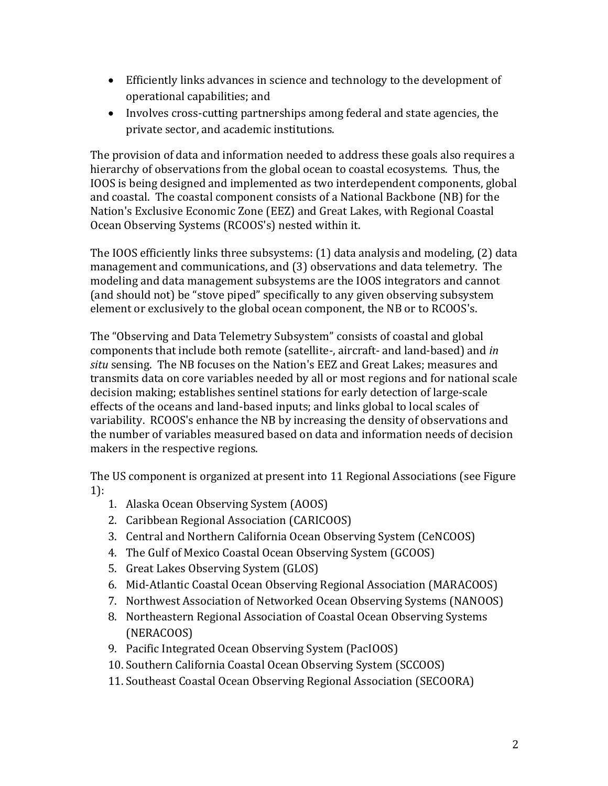- Efficiently links advances in science and technology to the development of operational capabilities; and
- Involves cross-cutting partnerships among federal and state agencies, the private sector, and academic institutions.

The provision of data and information needed to address these goals also requires a hierarchy of observations from the global ocean to coastal ecosystems. Thus, the IOOS is being designed and implemented as two interdependent components, global and coastal. The coastal component consists of a National Backbone (NB) for the Nation's Exclusive Economic Zone (EEZ) and Great Lakes, with Regional Coastal Ocean Observing Systems (RCOOS's) nested within it.

The IOOS efficiently links three subsystems:  $(1)$  data analysis and modeling,  $(2)$  data management and communications, and (3) observations and data telemetry. The modeling and data management subsystems are the IOOS integrators and cannot (and should not) be "stove piped" specifically to any given observing subsystem element or exclusively to the global ocean component, the NB or to RCOOS's.

The "Observing and Data Telemetry Subsystem" consists of coastal and global components that include both remote (satellite-, aircraft- and land-based) and *in* situ sensing. The NB focuses on the Nation's EEZ and Great Lakes; measures and transmits data on core variables needed by all or most regions and for national scale decision making; establishes sentinel stations for early detection of large-scale effects of the oceans and land-based inputs; and links global to local scales of variability. RCOOS's enhance the NB by increasing the density of observations and the number of variables measured based on data and information needs of decision makers in the respective regions.

The US component is organized at present into 11 Regional Associations (see Figure 1):

- 1. Alaska Ocean Observing System (AOOS)
- 2. Caribbean Regional Association (CARICOOS)
- 3. Central and Northern California Ocean Observing System (CeNCOOS)
- 4. The Gulf of Mexico Coastal Ocean Observing System (GCOOS)
- 5. Great Lakes Observing System (GLOS)
- 6. Mid-Atlantic Coastal Ocean Observing Regional Association (MARACOOS)
- 7. Northwest Association of Networked Ocean Observing Systems (NANOOS)
- 8. Northeastern Regional Association of Coastal Ocean Observing Systems (NERACOOS)
- 9. Pacific Integrated Ocean Observing System (PacIOOS)
- 10. Southern California Coastal Ocean Observing System (SCCOOS)
- 11. Southeast Coastal Ocean Observing Regional Association (SECOORA)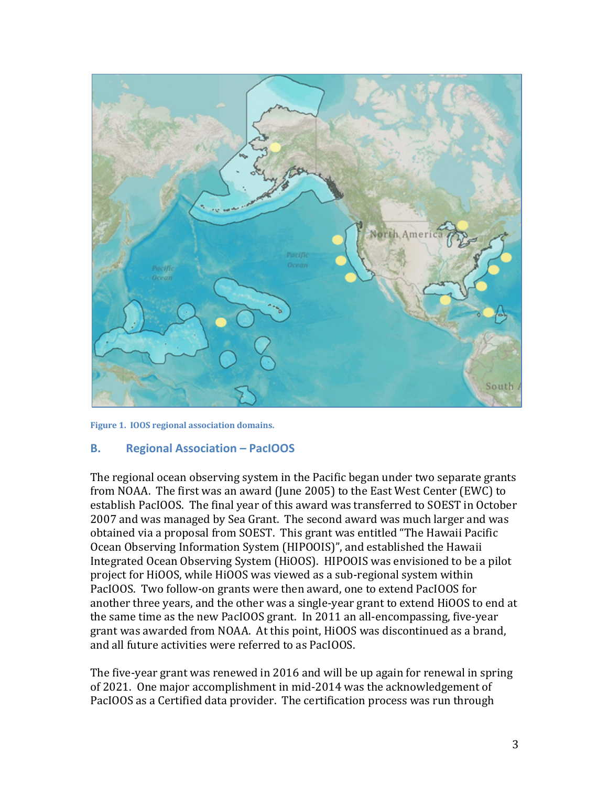

Figure 1. **IOOS** regional association domains.

## **B. Regional Association – PacIOOS**

The regional ocean observing system in the Pacific began under two separate grants from NOAA. The first was an award (June 2005) to the East West Center (EWC) to establish PacIOOS. The final year of this award was transferred to SOEST in October 2007 and was managed by Sea Grant. The second award was much larger and was obtained via a proposal from SOEST. This grant was entitled "The Hawaii Pacific Ocean Observing Information System (HIPOOIS)", and established the Hawaii Integrated Ocean Observing System (HiOOS). HIPOOIS was envisioned to be a pilot project for HiOOS, while HiOOS was viewed as a sub-regional system within PacIOOS. Two follow-on grants were then award, one to extend PacIOOS for another three years, and the other was a single-year grant to extend HiOOS to end at the same time as the new PacIOOS grant. In 2011 an all-encompassing, five-year grant was awarded from NOAA. At this point, HiOOS was discontinued as a brand, and all future activities were referred to as PacIOOS.

The five-year grant was renewed in 2016 and will be up again for renewal in spring of 2021. One major accomplishment in mid-2014 was the acknowledgement of PacIOOS as a Certified data provider. The certification process was run through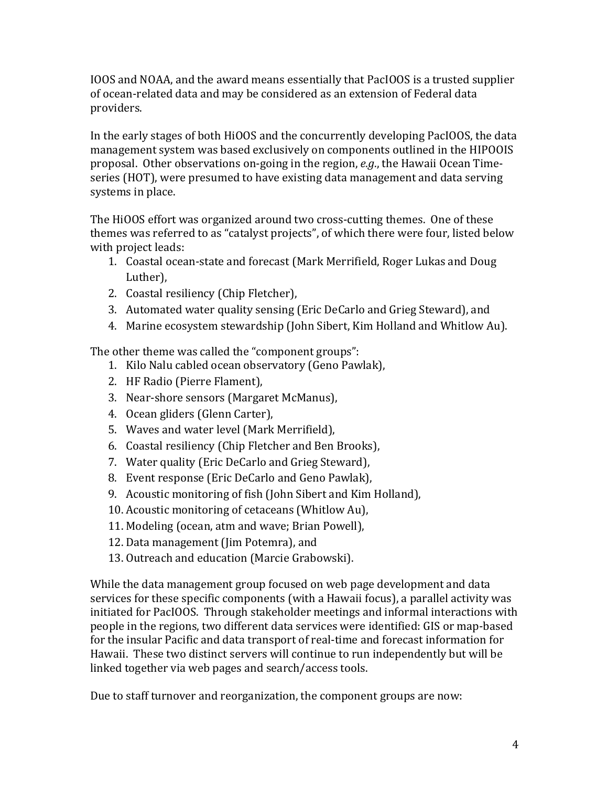IOOS and NOAA, and the award means essentially that PacIOOS is a trusted supplier of ocean-related data and may be considered as an extension of Federal data providers.

In the early stages of both HiOOS and the concurrently developing PacIOOS, the data management system was based exclusively on components outlined in the HIPOOIS proposal. Other observations on-going in the region, *e.g.*, the Hawaii Ocean Timeseries (HOT), were presumed to have existing data management and data serving systems in place.

The HiOOS effort was organized around two cross-cutting themes. One of these themes was referred to as "catalyst projects", of which there were four, listed below with project leads:

- 1. Coastal ocean-state and forecast (Mark Merrifield, Roger Lukas and Doug Luther),
- 2. Coastal resiliency (Chip Fletcher),
- 3. Automated water quality sensing (Eric DeCarlo and Grieg Steward), and
- 4. Marine ecosystem stewardship (John Sibert, Kim Holland and Whitlow Au).

The other theme was called the "component groups":

- 1. Kilo Nalu cabled ocean observatory (Geno Pawlak),
- 2. HF Radio (Pierre Flament),
- 3. Near-shore sensors (Margaret McManus),
- 4. Ocean gliders (Glenn Carter),
- 5. Waves and water level (Mark Merrifield),
- 6. Coastal resiliency (Chip Fletcher and Ben Brooks),
- 7. Water quality (Eric DeCarlo and Grieg Steward),
- 8. Event response (Eric DeCarlo and Geno Pawlak),
- 9. Acoustic monitoring of fish (John Sibert and Kim Holland),
- 10. Acoustic monitoring of cetaceans (Whitlow Au),
- 11. Modeling (ocean, atm and wave; Brian Powell),
- 12. Data management (Jim Potemra), and
- 13. Outreach and education (Marcie Grabowski).

While the data management group focused on web page development and data services for these specific components (with a Hawaii focus), a parallel activity was initiated for PacIOOS. Through stakeholder meetings and informal interactions with people in the regions, two different data services were identified: GIS or map-based for the insular Pacific and data transport of real-time and forecast information for Hawaii. These two distinct servers will continue to run independently but will be linked together via web pages and search/access tools.

Due to staff turnover and reorganization, the component groups are now: